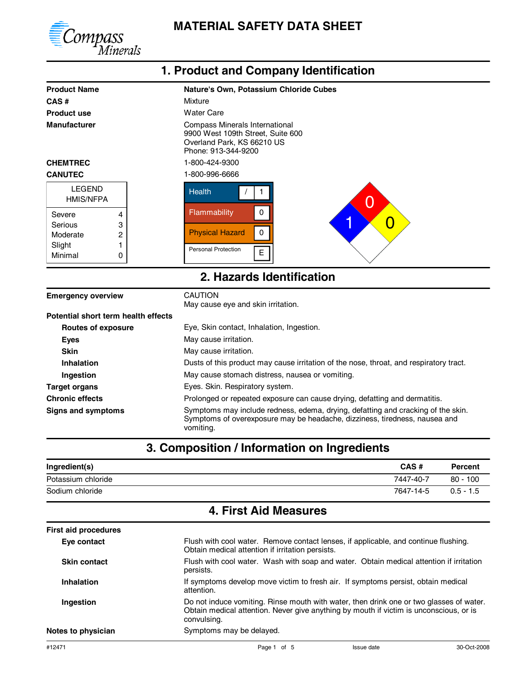

#### Product Name **Nature's Own, Potassium Chloride Cubes 1. Product and Company Identification CAS #** Mixture **Product use** Water Care **Manufacturer** Compass Minerals International 9900 West 109th Street, Suite 600 Overland Park, KS 66210 US Phone: 913-344-9200 **CHEMTREC** 1-800-424-9300 **CANUTEC** 1-800-996-6666 **CANUTEC** Personal Protection Physical Hazard **Flammability** Health E 0 0 / 1 Minimal **Slight** Moderate Serious LEGEND 4 3 2 1 0 Severe 0 1  $\times$  0 HMIS/NFPA **Emergency overview** CAUTION May cause eye and skin irritation. **2. Hazards Identification Routes of exposure Potential short term health effects** Eye, Skin contact, Inhalation, Ingestion. **Eyes** May cause irritation. **Skin** May cause irritation. **Inhalation** Dusts of this product may cause irritation of the nose, throat, and respiratory tract.

**Ingestion** May cause stomach distress, nausea or vomiting. **Target organs** Eyes. Skin. Respiratory system.

**Chronic effects** Prolonged or repeated exposure can cause drying, defatting and dermatitis.

Signs and symptoms **Symptoms** Symptoms may include redness, edema, drying, defatting and cracking of the skin. Symptoms of overexposure may be headache, dizziness, tiredness, nausea and vomiting.

### **3. Composition / Information on Ingredients**

| Ingredient(s)      | CAS#      | <b>Percent</b> |
|--------------------|-----------|----------------|
| Potassium chloride | 7447-40-7 | $80 - 100$     |
| Sodium chloride    | 7647-14-5 | $0.5 - 1.5$    |

## **4. First Aid Measures**

| <b>First aid procedures</b> |                                                                                                                                                                                                  |  |
|-----------------------------|--------------------------------------------------------------------------------------------------------------------------------------------------------------------------------------------------|--|
| Eye contact                 | Flush with cool water. Remove contact lenses, if applicable, and continue flushing.<br>Obtain medical attention if irritation persists.                                                          |  |
| <b>Skin contact</b>         | Flush with cool water. Wash with soap and water. Obtain medical attention if irritation<br>persists.                                                                                             |  |
| Inhalation                  | If symptoms develop move victim to fresh air. If symptoms persist, obtain medical<br>attention.                                                                                                  |  |
| Ingestion                   | Do not induce vomiting. Rinse mouth with water, then drink one or two glasses of water.<br>Obtain medical attention. Never give anything by mouth if victim is unconscious, or is<br>convulsing. |  |
| Notes to physician          | Symptoms may be delayed.                                                                                                                                                                         |  |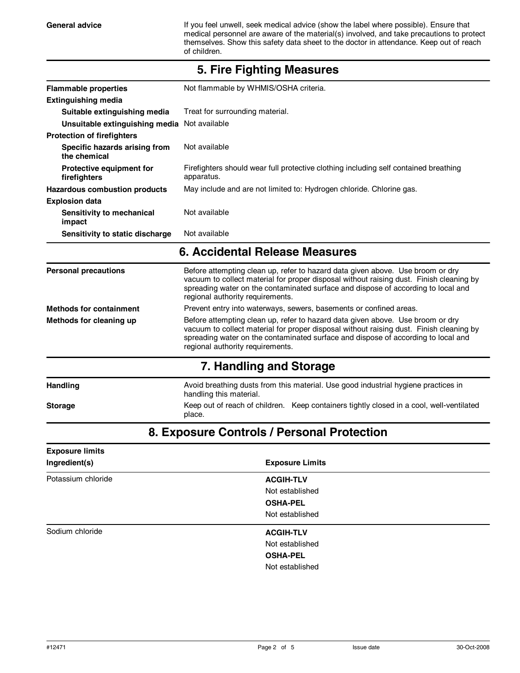General advice **If you feel unwell, seek medical advice (show the label where possible). Ensure that** medical personnel are aware of the material(s) involved, and take precautions to protect themselves. Show this safety data sheet to the doctor in attendance. Keep out of reach of children.

| <b>Flammable properties</b>                   | Not flammable by WHMIS/OSHA criteria.                                                                                                                                                                                                                                                              |  |
|-----------------------------------------------|----------------------------------------------------------------------------------------------------------------------------------------------------------------------------------------------------------------------------------------------------------------------------------------------------|--|
| <b>Extinguishing media</b>                    |                                                                                                                                                                                                                                                                                                    |  |
| Suitable extinguishing media                  | Treat for surrounding material.                                                                                                                                                                                                                                                                    |  |
| Unsuitable extinguishing media Not available  |                                                                                                                                                                                                                                                                                                    |  |
| <b>Protection of firefighters</b>             |                                                                                                                                                                                                                                                                                                    |  |
| Specific hazards arising from<br>the chemical | Not available                                                                                                                                                                                                                                                                                      |  |
| Protective equipment for<br>firefighters      | Firefighters should wear full protective clothing including self contained breathing<br>apparatus.                                                                                                                                                                                                 |  |
| <b>Hazardous combustion products</b>          | May include and are not limited to: Hydrogen chloride. Chlorine gas.                                                                                                                                                                                                                               |  |
| <b>Explosion data</b>                         |                                                                                                                                                                                                                                                                                                    |  |
| Sensitivity to mechanical<br>impact           | Not available                                                                                                                                                                                                                                                                                      |  |
| Sensitivity to static discharge               | Not available                                                                                                                                                                                                                                                                                      |  |
|                                               | 6. Accidental Release Measures                                                                                                                                                                                                                                                                     |  |
| <b>Personal precautions</b>                   | Before attempting clean up, refer to hazard data given above. Use broom or dry<br>vacuum to collect material for proper disposal without raising dust. Finish cleaning by<br>spreading water on the contaminated surface and dispose of according to local and<br>regional authority requirements. |  |
| <b>Methods for containment</b>                | Prevent entry into waterways, sewers, basements or confined areas.                                                                                                                                                                                                                                 |  |
| Methods for cleaning up                       | Before attempting clean up, refer to hazard data given above. Use broom or dry<br>vacuum to collect material for proper disposal without raising dust. Finish cleaning by<br>spreading water on the contaminated surface and dispose of according to local and<br>regional authority requirements. |  |
|                                               | 7. Handling and Storage                                                                                                                                                                                                                                                                            |  |
| <b>Handling</b>                               | Avoid breathing dusts from this material. Use good industrial hygiene practices in<br>handling this material.                                                                                                                                                                                      |  |
| <b>Storage</b>                                | Keep out of reach of children. Keep containers tightly closed in a cool, well-ventilated<br>place.                                                                                                                                                                                                 |  |

#### **5. Fire Fighting Measures**

# **8. Exposure Controls / Personal Protection**

| <b>Exposure limits</b> |                        |  |
|------------------------|------------------------|--|
| Ingredient(s)          | <b>Exposure Limits</b> |  |
| Potassium chloride     | <b>ACGIH-TLV</b>       |  |
|                        | Not established        |  |
|                        | <b>OSHA-PEL</b>        |  |
|                        | Not established        |  |
| Sodium chloride        | <b>ACGIH-TLV</b>       |  |
|                        | Not established        |  |
|                        | <b>OSHA-PEL</b>        |  |
|                        | Not established        |  |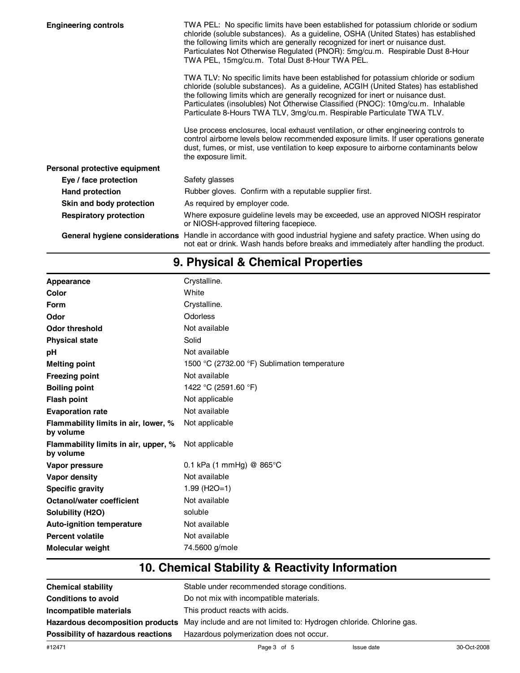| <b>Engineering controls</b>    | TWA PEL: No specific limits have been established for potassium chloride or sodium<br>chloride (soluble substances). As a guideline, OSHA (United States) has established<br>the following limits which are generally recognized for inert or nuisance dust.<br>Particulates Not Otherwise Regulated (PNOR): 5mg/cu.m. Respirable Dust 8-Hour<br>TWA PEL, 15mg/cu.m. Total Dust 8-Hour TWA PEL.                            |
|--------------------------------|----------------------------------------------------------------------------------------------------------------------------------------------------------------------------------------------------------------------------------------------------------------------------------------------------------------------------------------------------------------------------------------------------------------------------|
|                                | TWA TLV: No specific limits have been established for potassium chloride or sodium<br>chloride (soluble substances). As a guideline, ACGIH (United States) has established<br>the following limits which are generally recognized for inert or nuisance dust.<br>Particulates (insolubles) Not Otherwise Classified (PNOC): 10mg/cu.m. Inhalable<br>Particulate 8-Hours TWA TLV, 3mg/cu.m. Respirable Particulate TWA TLV. |
|                                | Use process enclosures, local exhaust ventilation, or other engineering controls to<br>control airborne levels below recommended exposure limits. If user operations generate<br>dust, fumes, or mist, use ventilation to keep exposure to airborne contaminants below<br>the exposure limit.                                                                                                                              |
| Personal protective equipment  |                                                                                                                                                                                                                                                                                                                                                                                                                            |
| Eye / face protection          | Safety glasses                                                                                                                                                                                                                                                                                                                                                                                                             |
| <b>Hand protection</b>         | Rubber gloves. Confirm with a reputable supplier first.                                                                                                                                                                                                                                                                                                                                                                    |
| Skin and body protection       | As required by employer code.                                                                                                                                                                                                                                                                                                                                                                                              |
| <b>Respiratory protection</b>  | Where exposure guideline levels may be exceeded, use an approved NIOSH respirator<br>or NIOSH-approved filtering facepiece.                                                                                                                                                                                                                                                                                                |
| General hygiene considerations | Handle in accordance with good industrial hygiene and safety practice. When using do<br>not eat or drink. Wash hands before breaks and immediately after handling the product.                                                                                                                                                                                                                                             |

# **9. Physical & Chemical Properties**

| Appearance                                                           |  |
|----------------------------------------------------------------------|--|
| White<br>Color                                                       |  |
| Crystalline.<br>Form                                                 |  |
| Odorless<br>Odor                                                     |  |
| Not available<br>Odor threshold                                      |  |
| Solid<br><b>Physical state</b>                                       |  |
| Not available<br>рH                                                  |  |
| 1500 °C (2732.00 °F) Sublimation temperature<br><b>Melting point</b> |  |
| Not available<br><b>Freezing point</b>                               |  |
| 1422 °C (2591.60 °F)<br><b>Boiling point</b>                         |  |
| Not applicable<br><b>Flash point</b>                                 |  |
| Not available<br><b>Evaporation rate</b>                             |  |
| Not applicable<br>Flammability limits in air, lower, %<br>by volume  |  |
| Not applicable<br>Flammability limits in air, upper, %<br>by volume  |  |
| 0.1 kPa (1 mmHg) @ $865^{\circ}$ C<br>Vapor pressure                 |  |
| Not available<br>Vapor density                                       |  |
| $1.99$ (H <sub>2</sub> O=1)<br><b>Specific gravity</b>               |  |
| Not available<br>Octanol/water coefficient                           |  |
| soluble<br>Solubility (H2O)                                          |  |
| Not available<br><b>Auto-ignition temperature</b>                    |  |
| Not available<br><b>Percent volatile</b>                             |  |
| 74.5600 g/mole<br><b>Molecular weight</b>                            |  |

# **10. Chemical Stability & Reactivity Information**

| <b>Chemical stability</b>          | Stable under recommended storage conditions.                                                          |
|------------------------------------|-------------------------------------------------------------------------------------------------------|
| <b>Conditions to avoid</b>         | Do not mix with incompatible materials.                                                               |
| Incompatible materials             | This product reacts with acids.                                                                       |
|                                    | Hazardous decomposition products May include and are not limited to: Hydrogen chloride. Chlorine gas. |
| Possibility of hazardous reactions | Hazardous polymerization does not occur.                                                              |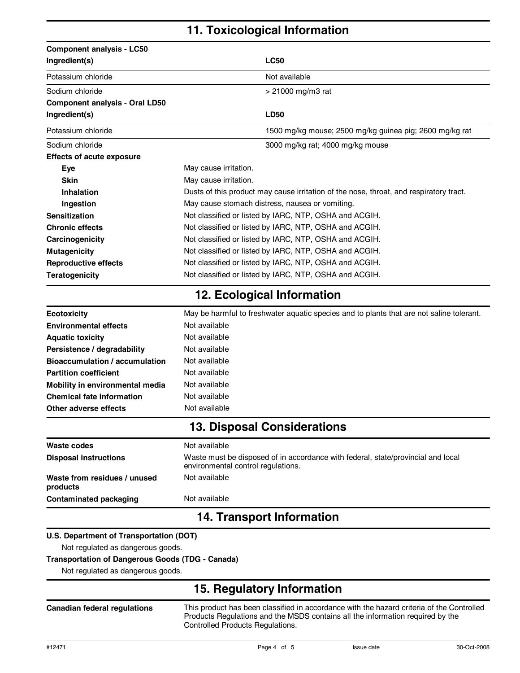# **11. Toxicological Information**

| <b>Component analysis - LC50</b>                        |                                                                                                                        |  |  |
|---------------------------------------------------------|------------------------------------------------------------------------------------------------------------------------|--|--|
| Ingredient(s)                                           | <b>LC50</b>                                                                                                            |  |  |
| Potassium chloride                                      | Not available                                                                                                          |  |  |
| Sodium chloride                                         | > 21000 mg/m3 rat                                                                                                      |  |  |
| <b>Component analysis - Oral LD50</b>                   |                                                                                                                        |  |  |
| Ingredient(s)                                           | <b>LD50</b>                                                                                                            |  |  |
| Potassium chloride                                      | 1500 mg/kg mouse; 2500 mg/kg guinea pig; 2600 mg/kg rat                                                                |  |  |
| Sodium chloride                                         | 3000 mg/kg rat; 4000 mg/kg mouse                                                                                       |  |  |
| <b>Effects of acute exposure</b>                        |                                                                                                                        |  |  |
| Eye                                                     | May cause irritation.                                                                                                  |  |  |
| <b>Skin</b>                                             | May cause irritation.                                                                                                  |  |  |
| Inhalation                                              | Dusts of this product may cause irritation of the nose, throat, and respiratory tract.                                 |  |  |
| Ingestion                                               | May cause stomach distress, nausea or vomiting.                                                                        |  |  |
| <b>Sensitization</b>                                    | Not classified or listed by IARC, NTP, OSHA and ACGIH.                                                                 |  |  |
| <b>Chronic effects</b>                                  | Not classified or listed by IARC, NTP, OSHA and ACGIH.                                                                 |  |  |
| Carcinogenicity                                         | Not classified or listed by IARC, NTP, OSHA and ACGIH.                                                                 |  |  |
| <b>Mutagenicity</b>                                     | Not classified or listed by IARC, NTP, OSHA and ACGIH.                                                                 |  |  |
| <b>Reproductive effects</b>                             | Not classified or listed by IARC, NTP, OSHA and ACGIH.                                                                 |  |  |
| <b>Teratogenicity</b>                                   | Not classified or listed by IARC, NTP, OSHA and ACGIH.                                                                 |  |  |
|                                                         | 12. Ecological Information                                                                                             |  |  |
| <b>Ecotoxicity</b>                                      | May be harmful to freshwater aquatic species and to plants that are not saline tolerant.                               |  |  |
| <b>Environmental effects</b>                            | Not available                                                                                                          |  |  |
| <b>Aquatic toxicity</b>                                 | Not available                                                                                                          |  |  |
| Persistence / degradability                             | Not available                                                                                                          |  |  |
| <b>Bioaccumulation / accumulation</b>                   | Not available                                                                                                          |  |  |
| <b>Partition coefficient</b>                            | Not available                                                                                                          |  |  |
| Mobility in environmental media                         | Not available                                                                                                          |  |  |
| <b>Chemical fate information</b>                        | Not available                                                                                                          |  |  |
| Other adverse effects                                   | Not available                                                                                                          |  |  |
|                                                         | <b>13. Disposal Considerations</b>                                                                                     |  |  |
| Waste codes                                             | Not available                                                                                                          |  |  |
| <b>Disposal instructions</b>                            | Waste must be disposed of in accordance with federal, state/provincial and local<br>environmental control regulations. |  |  |
| Waste from residues / unused<br>products                | Not available                                                                                                          |  |  |
| <b>Contaminated packaging</b>                           | Not available                                                                                                          |  |  |
| <b>14. Transport Information</b>                        |                                                                                                                        |  |  |
| U.S. Department of Transportation (DOT)                 |                                                                                                                        |  |  |
| Not regulated as dangerous goods.                       |                                                                                                                        |  |  |
| <b>Transportation of Dangerous Goods (TDG - Canada)</b> |                                                                                                                        |  |  |
| Not regulated as dangerous goods.                       |                                                                                                                        |  |  |
|                                                         | 15. Regulatory Information                                                                                             |  |  |